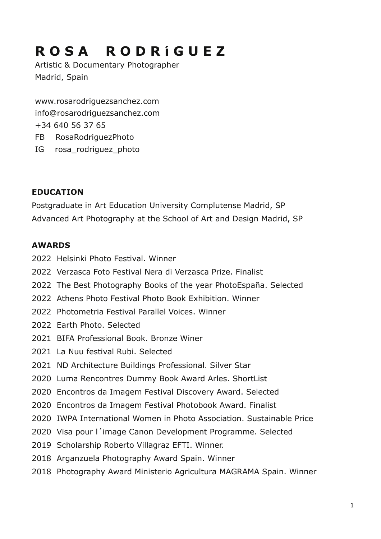# **R O S A R O D R í G U E Z**

Artistic & Documentary Photographer Madrid, Spain

[www.rosarodriguezsanchez.com](http://www.rosarodriguezsanchez.com) [info@rosarodriguezsanchez.com](mailto:info@rosarodriguezsanchez.com) +34 640 56 37 65 FB RosaRodriguezPhoto IG rosa\_rodriguez\_photo

## **EDUCATION**

Postgraduate in Art Education University Complutense Madrid, SP Advanced Art Photography at the School of Art and Design Madrid, SP

## **AWARDS**

- 2022 Helsinki Photo Festival. Winner
- 2022 Verzasca Foto Festival Nera di Verzasca Prize. Finalist
- 2022 The Best Photography Books of the year PhotoEspaña. Selected
- 2022 Athens Photo Festival Photo Book Exhibition. Winner
- 2022 Photometria Festival Parallel Voices. Winner
- 2022 Earth Photo. Selected
- 2021 BIFA Professional Book. Bronze Winer
- 2021 La Nuu festival Rubi. Selected
- 2021 ND Architecture Buildings Professional. Silver Star
- 2020 Luma Rencontres Dummy Book Award Arles. ShortList
- 2020 Encontros da Imagem Festival Discovery Award. Selected
- 2020 Encontros da Imagem Festival Photobook Award. Finalist
- 2020 IWPA International Women in Photo Association. Sustainable Price
- 2020 Visa pour l´image Canon Development Programme. Selected
- 2019 Scholarship Roberto Villagraz EFTI. Winner.
- 2018 Arganzuela Photography Award Spain. Winner
- 2018 Photography Award Ministerio Agricultura MAGRAMA Spain. Winner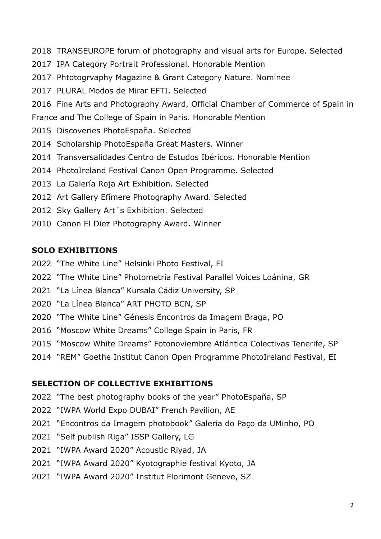- 2018 TRANSEUROPE forum of photography and visual arts for Europe. Selected
- 2017 IPA Category Portrait Professional. Honorable Mention
- 2017 Phtotogrvaphy Magazine & Grant Category Nature. Nominee
- 2017 PLURAL Modos de Mirar EFTI. Selected
- 2016 Fine Arts and Photography Award, Official Chamber of Commerce of Spain in

France and The College of Spain in Paris. Honorable Mention

- 2015 Discoveries PhotoEspaña. Selected
- 2014 Scholarship PhotoEspaña Great Masters. Winner
- 2014 Transversalidades Centro de Estudos Ibéricos. Honorable Mention
- 2014 PhotoIreland Festival Canon Open Programme. Selected
- 2013 La Galería Roja Art Exhibition. Selected
- 2012 Art Gallery Efímere Photography Award. Selected
- 2012 Sky Gallery Art´s Exhibition. Selected
- 2010 Canon El Diez Photography Award. Winner

# **SOLO EXHIBITIONS**

- 2022 "The White Line" Helsinki Photo Festival, FI
- 2022 "The White Line" Photometria Festival Parallel Voices Loánina, GR
- 2021 "La Línea Blanca" Kursala Cádiz University, SP
- 2020 "La Línea Blanca" ART PHOTO BCN, SP
- 2020 "The White Line" Génesis Encontros da Imagem Braga, PO
- 2016 "Moscow White Dreams" College Spain in Paris, FR
- 2015 "Moscow White Dreams" Fotonoviembre Atlántica Colectivas Tenerife, SP
- 2014 "REM" Goethe Institut Canon Open Programme PhotoIreland Festival, EI

## **SELECTION OF COLLECTIVE EXHIBITIONS**

- 2022 "The best photography books of the year" PhotoEspaña, SP
- 2022 "IWPA World Expo DUBAI" French Pavilion, AE
- 2021 "Encontros da Imagem photobook" Galeria do Paço da UMinho, PO
- 2021 "Self publish Riga" ISSP Gallery, LG
- 2021 "IWPA Award 2020" Acoustic Riyad, JA
- 2021 "IWPA Award 2020" Kyotographie festival Kyoto, JA
- 2021 "IWPA Award 2020" Institut Florimont Geneve, SZ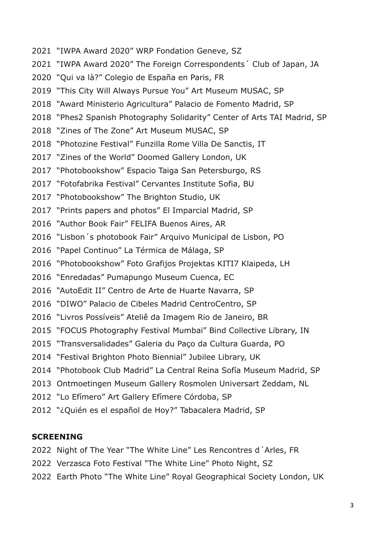- 2021 "IWPA Award 2020" WRP Fondation Geneve, SZ
- 2021 "IWPA Award 2020" The Foreign Correspondents´ Club of Japan, JA
- 2020 "Qui va là?" Colegio de España en Paris, FR
- 2019 "This City Will Always Pursue You" Art Museum MUSAC, SP
- 2018 "Award Ministerio Agricultura" Palacio de Fomento Madrid, SP
- 2018 "Phes2 Spanish Photography Solidarity" Center of Arts TAI Madrid, SP
- 2018 "Zines of The Zone" Art Museum MUSAC, SP
- 2018 "Photozine Festival" Funzilla Rome Villa De Sanctis, IT
- 2017 "Zines of the World" Doomed Gallery London, UK
- 2017 "Photobookshow" Espacio Taiga San Petersburgo, RS
- 2017 "Fotofabrika Festival" Cervantes Institute Sofia, BU
- 2017 "Photobookshow" The Brighton Studio, UK
- 2017 "Prints papers and photos" El Imparcial Madrid, SP
- 2016 "Author Book Fair" FELIFA Buenos Aires, AR
- 2016 "Lisbon´s photobook Fair" Arquivo Municipal de Lisbon, PO
- 2016 "Papel Continuo" La Térmica de Málaga, SP
- 2016 "Photobookshow" Foto Grafijos Projektas KITI7 Klaipeda, LH
- 2016 "Enredadas" Pumapungo Museum Cuenca, EC
- 2016 "AutoEdit II" Centro de Arte de Huarte Navarra, SP
- 2016 "DIWO" Palacio de Cibeles Madrid CentroCentro, SP
- 2016 "Livros Possíveis" Ateliê da Imagem Rio de Janeiro, BR
- 2015 "FOCUS Photography Festival Mumbai" Bind Collective Library, IN
- 2015 "Transversalidades" Galeria du Paço da Cultura Guarda, PO
- 2014 "Festival Brighton Photo Biennial" Jubilee Library, UK
- 2014 "Photobook Club Madrid" La Central Reina Sofía Museum Madrid, SP
- 2013 Ontmoetingen Museum Gallery Rosmolen Universart Zeddam, NL
- 2012 "Lo Efímero" Art Gallery Efímere Córdoba, SP
- 2012 "¿Quién es el español de Hoy?" Tabacalera Madrid, SP

#### **SCREENING**

- 2022 Night of The Year "The White Line" Les Rencontres d´Arles, FR
- 2022 Verzasca Foto Festival "The White Line" Photo Night, SZ
- 2022 Earth Photo "The White Line" Royal Geographical Society London, UK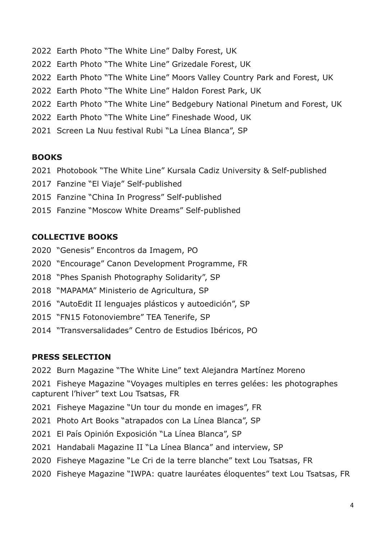- 2022 Earth Photo "The White Line" Dalby Forest, UK
- 2022 Earth Photo "The White Line" Grizedale Forest, UK
- 2022 Earth Photo "The White Line" Moors Valley Country Park and Forest, UK
- 2022 Earth Photo "The White Line" Haldon Forest Park, UK
- 2022 Earth Photo "The White Line" Bedgebury National Pinetum and Forest, UK
- 2022 Earth Photo "The White Line" Fineshade Wood, UK
- 2021 Screen La Nuu festival Rubi "La Línea Blanca", SP

#### **BOOKS**

- 2021 Photobook "The White Line" Kursala Cadiz University & Self-published
- 2017 Fanzine "El Viaje" Self-published
- 2015 Fanzine "China In Progress" Self-published
- 2015 Fanzine "Moscow White Dreams" Self-published

## **COLLECTIVE BOOKS**

- 2020 "Genesis" Encontros da Imagem, PO
- 2020 "Encourage" Canon Development Programme, FR
- 2018 "Phes Spanish Photography Solidarity", SP
- 2018 "MAPAMA" Ministerio de Agricultura, SP
- 2016 "AutoEdit II lenguajes plásticos y autoedición", SP
- 2015 "FN15 Fotonoviembre" TEA Tenerife, SP
- 2014 "Transversalidades" Centro de Estudios Ibéricos, PO

#### **PRESS SELECTION**

2022 Burn Magazine "The White Line" text Alejandra Martínez Moreno

2021 Fisheye Magazine "Voyages multiples en terres gelées: les photographes capturent l'hiver" text Lou Tsatsas, FR

- 2021 Fisheye Magazine "Un tour du monde en images", FR
- 2021 Photo Art Books "atrapados con La Línea Blanca", SP
- 2021 El País Opinión Exposición "La Línea Blanca", SP
- 2021 Handabali Magazine II "La Línea Blanca" and interview, SP
- 2020 Fisheye Magazine "Le Cri de la terre blanche" text Lou Tsatsas, FR
- 2020 Fisheye Magazine "IWPA: quatre lauréates éloquentes" text Lou Tsatsas, FR